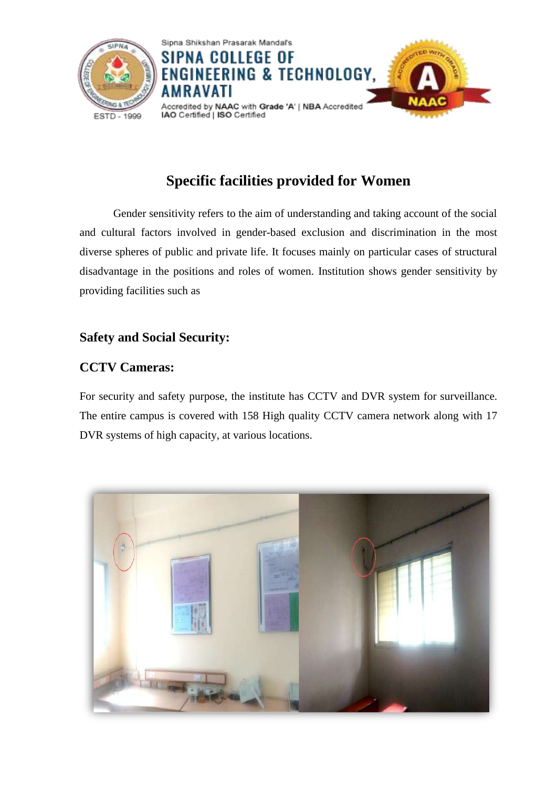

# **Specific facilities provided for Women**

Gender sensitivity refers to the aim of understanding and taking account of the social and cultural factors involved in gender-based exclusion and discrimination in the most diverse spheres of public and private life. It focuses mainly on particular cases of structural disadvantage in the positions and roles of women. Institution shows gender sensitivity by providing facilities such as

# **Safety and Social Security:**

# **CCTV Cameras:**

For security and safety purpose, the institute has CCTV and DVR system for surveillance. The entire campus is covered with 158 High quality CCTV camera network along with 17 DVR systems of high capacity, at various locations.

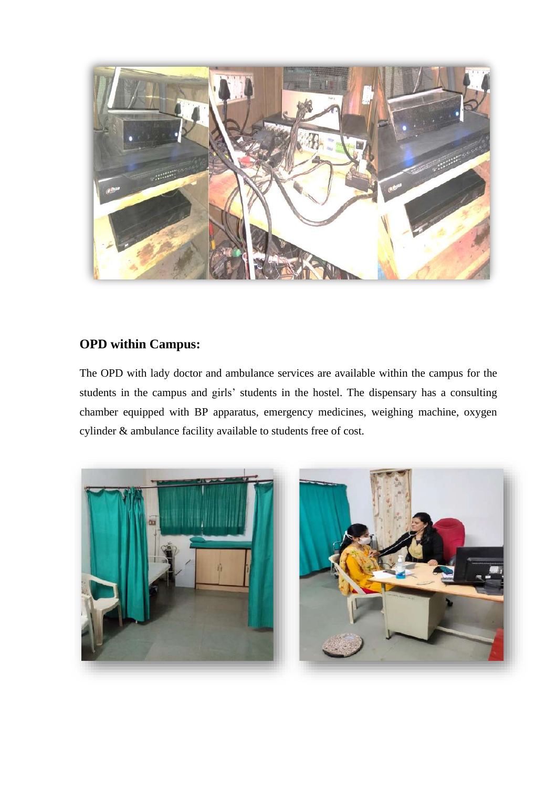

### **OPD within Campus:**

The OPD with lady doctor and ambulance services are available within the campus for the students in the campus and girls' students in the hostel. The dispensary has a consulting chamber equipped with BP apparatus, emergency medicines, weighing machine, oxygen cylinder & ambulance facility available to students free of cost.

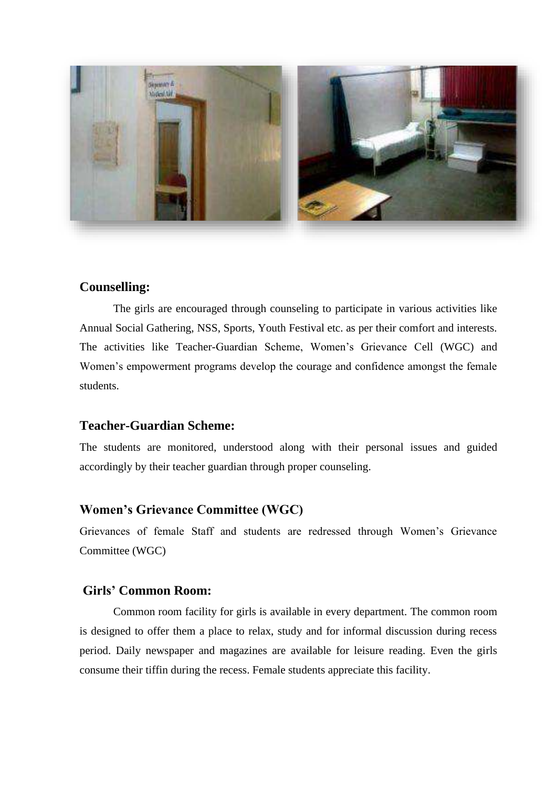

#### **Counselling:**

The girls are encouraged through counseling to participate in various activities like Annual Social Gathering, NSS, Sports, Youth Festival etc. as per their comfort and interests. The activities like Teacher-Guardian Scheme, Women's Grievance Cell (WGC) and Women's empowerment programs develop the courage and confidence amongst the female students.

#### **Teacher-Guardian Scheme:**

The students are monitored, understood along with their personal issues and guided accordingly by their teacher guardian through proper counseling.

#### **Women's Grievance Committee (WGC)**

Grievances of female Staff and students are redressed through Women's Grievance Committee (WGC)

#### **Girls' Common Room:**

Common room facility for girls is available in every department. The common room is designed to offer them a place to relax, study and for informal discussion during recess period. Daily newspaper and magazines are available for leisure reading. Even the girls consume their tiffin during the recess. Female students appreciate this facility.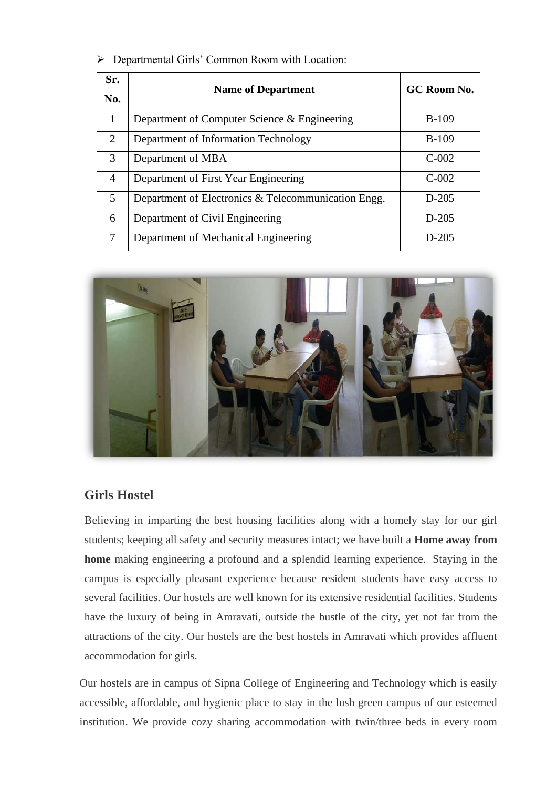#### ➢ Departmental Girls' Common Room with Location:

| Sr.                         | <b>Name of Department</b>                           | GC Room No. |
|-----------------------------|-----------------------------------------------------|-------------|
| No.                         |                                                     |             |
| 1                           | Department of Computer Science & Engineering        | $B-109$     |
| $\mathcal{D}_{\mathcal{L}}$ | Department of Information Technology                | $B-109$     |
| $\mathcal{F}$               | Department of MBA                                   | $C-002$     |
| $\overline{4}$              | Department of First Year Engineering                | $C-002$     |
| 5                           | Department of Electronics & Telecommunication Engg. | $D-205$     |
| 6                           | Department of Civil Engineering                     | $D-205$     |
| 7                           | Department of Mechanical Engineering                | $D-205$     |



### **Girls Hostel**

Believing in imparting the best housing facilities along with a homely stay for our girl students; keeping all safety and security measures intact; we have built a **Home away from home** making engineering a profound and a splendid learning experience. Staying in the campus is especially pleasant experience because resident students have easy access to several facilities. Our hostels are well known for its extensive residential facilities. Students have the luxury of being in Amravati, outside the bustle of the city, yet not far from the attractions of the city. Our hostels are the best hostels in Amravati which provides affluent accommodation for girls.

Our hostels are in campus of Sipna College of Engineering and Technology which is easily accessible, affordable, and hygienic place to stay in the lush green campus of our esteemed institution. We provide cozy sharing accommodation with twin/three beds in every room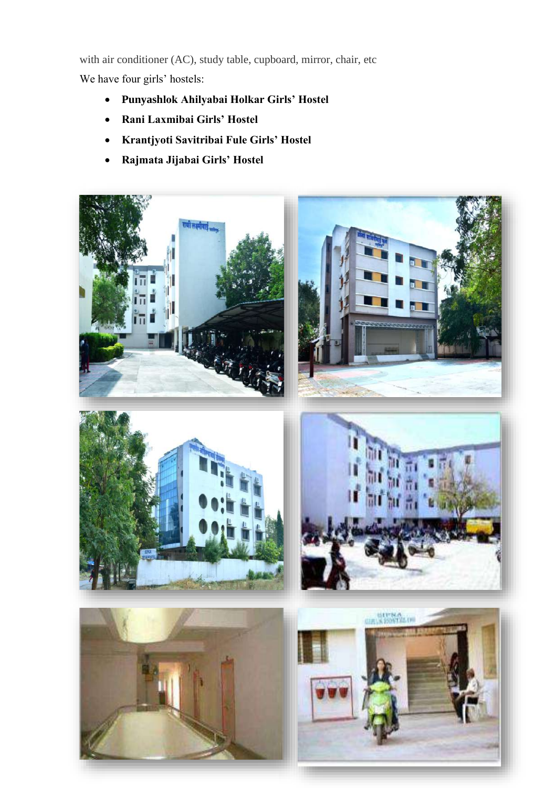with air conditioner (AC), study table, cupboard, mirror, chair, etc

We have four girls' hostels:

- **Punyashlok Ahilyabai Holkar Girls' Hostel**
- **Rani Laxmibai Girls' Hostel**
- **Krantjyoti Savitribai Fule Girls' Hostel**
- **Rajmata Jijabai Girls' Hostel**









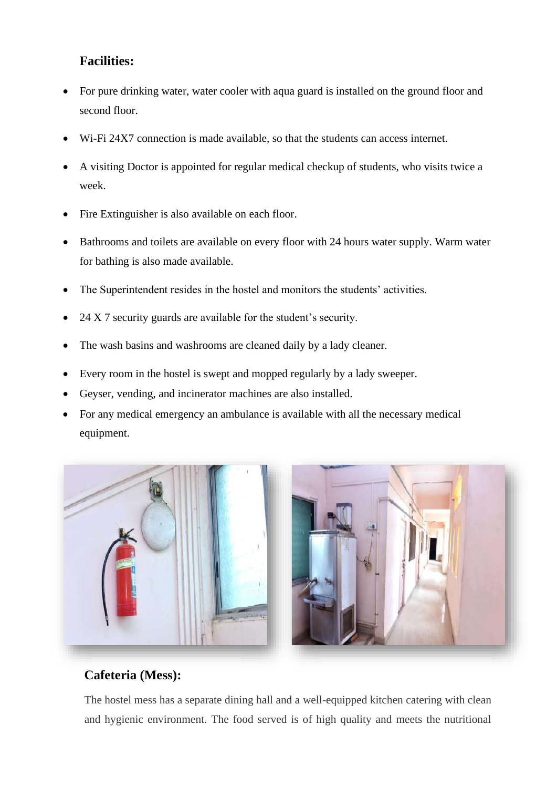### **Facilities:**

- For pure drinking water, water cooler with aqua guard is installed on the ground floor and second floor.
- W<sub>i-Fi</sub> 24X7 connection is made available, so that the students can access internet.
- A visiting Doctor is appointed for regular medical checkup of students, who visits twice a week.
- Fire Extinguisher is also available on each floor.
- Bathrooms and toilets are available on every floor with 24 hours water supply. Warm water for bathing is also made available.
- The Superintendent resides in the hostel and monitors the students' activities.
- 24 X 7 security guards are available for the student's security.
- The wash basins and washrooms are cleaned daily by a lady cleaner.
- Every room in the hostel is swept and mopped regularly by a lady sweeper.
- Geyser, vending, and incinerator machines are also installed.
- For any medical emergency an ambulance is available with all the necessary medical equipment.



# **Cafeteria (Mess):**

The hostel mess has a separate dining hall and a well-equipped kitchen catering with clean and hygienic environment. The food served is of high quality and meets the nutritional